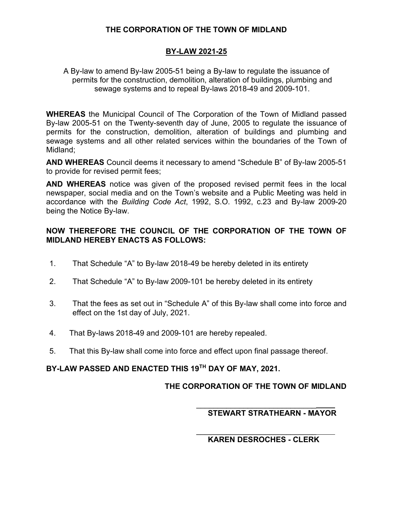## **THE CORPORATION OF THE TOWN OF MIDLAND**

## **BY-LAW 2021-25**

A By-law to amend By-law 2005-51 being a By-law to regulate the issuance of permits for the construction, demolition, alteration of buildings, plumbing and sewage systems and to repeal By-laws 2018-49 and 2009-101.

**WHEREAS** the Municipal Council of The Corporation of the Town of Midland passed By-law 2005-51 on the Twenty-seventh day of June, 2005 to regulate the issuance of permits for the construction, demolition, alteration of buildings and plumbing and sewage systems and all other related services within the boundaries of the Town of Midland;

**AND WHEREAS** Council deems it necessary to amend "Schedule B" of By-law 2005-51 to provide for revised permit fees;

**AND WHEREAS** notice was given of the proposed revised permit fees in the local newspaper, social media and on the Town's website and a Public Meeting was held in accordance with the *Building Code Act*, 1992, S.O. 1992, c.23 and By-law 2009-20 being the Notice By-law.

#### **NOW THEREFORE THE COUNCIL OF THE CORPORATION OF THE TOWN OF MIDLAND HEREBY ENACTS AS FOLLOWS:**

- 1. That Schedule "A" to By-law 2018-49 be hereby deleted in its entirety
- 2. That Schedule "A" to By-law 2009-101 be hereby deleted in its entirety
- 3. That the fees as set out in "Schedule A" of this By-law shall come into force and effect on the 1st day of July, 2021.
- 4. That By-laws 2018-49 and 2009-101 are hereby repealed.
- 5. That this By-law shall come into force and effect upon final passage thereof.

## **BY-LAW PASSED AND ENACTED THIS 19TH DAY OF MAY, 2021.**

#### **THE CORPORATION OF THE TOWN OF MIDLAND**

#### \_\_\_\_\_\_\_\_\_\_\_\_\_\_\_\_\_\_\_\_\_\_\_\_\_\_\_\_ **STEWART STRATHEARN - MAYOR**

#### \_\_\_\_\_\_\_\_\_\_\_\_\_\_\_\_\_\_\_\_\_\_\_\_\_\_\_\_ **KAREN DESROCHES - CLERK**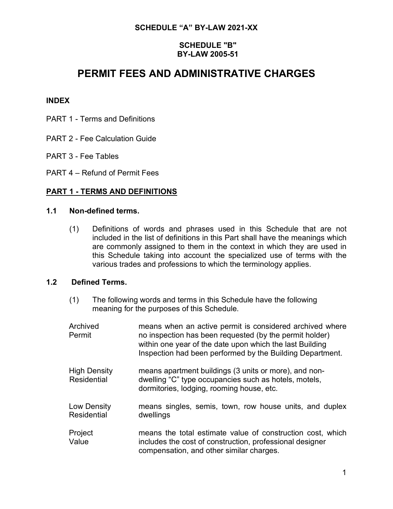## **SCHEDULE "A" BY-LAW 2021-XX**

## **SCHEDULE "B" BY-LAW 2005-51**

## **PERMIT FEES AND ADMINISTRATIVE CHARGES**

#### **INDEX**

- PART 1 Terms and Definitions
- PART 2 Fee Calculation Guide
- PART 3 Fee Tables
- PART 4 Refund of Permit Fees

### **PART 1 - TERMS AND DEFINITIONS**

#### **1.1 Non-defined terms.**

(1) Definitions of words and phrases used in this Schedule that are not included in the list of definitions in this Part shall have the meanings which are commonly assigned to them in the context in which they are used in this Schedule taking into account the specialized use of terms with the various trades and professions to which the terminology applies.

#### **1.2 Defined Terms.**

(1) The following words and terms in this Schedule have the following meaning for the purposes of this Schedule.

| Archived<br>Permit                        | means when an active permit is considered archived where<br>no inspection has been requested (by the permit holder)<br>within one year of the date upon which the last Building<br>Inspection had been performed by the Building Department. |
|-------------------------------------------|----------------------------------------------------------------------------------------------------------------------------------------------------------------------------------------------------------------------------------------------|
| <b>High Density</b><br><b>Residential</b> | means apartment buildings (3 units or more), and non-<br>dwelling "C" type occupancies such as hotels, motels,<br>dormitories, lodging, rooming house, etc.                                                                                  |
| Low Density<br><b>Residential</b>         | means singles, semis, town, row house units, and duplex<br>dwellings                                                                                                                                                                         |
| Project<br>Value                          | means the total estimate value of construction cost, which<br>includes the cost of construction, professional designer<br>compensation, and other similar charges.                                                                           |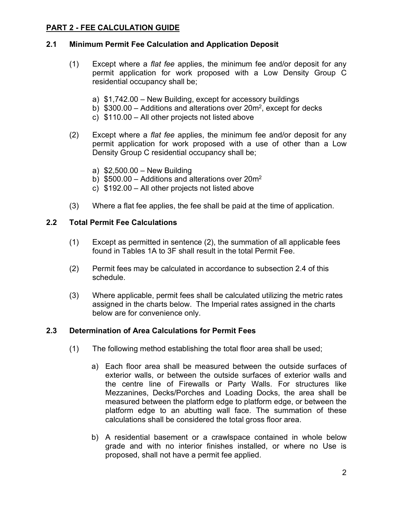## **PART 2 - FEE CALCULATION GUIDE**

## **2.1 Minimum Permit Fee Calculation and Application Deposit**

- (1) Except where a *flat fee* applies, the minimum fee and/or deposit for any permit application for work proposed with a Low Density Group C residential occupancy shall be;
	- a) \$1,742.00 New Building, except for accessory buildings
	- b)  $$300.00 -$  Additions and alterations over 20 $m<sup>2</sup>$ , except for decks
	- c) \$110.00 All other projects not listed above
- (2) Except where a *flat fee* applies, the minimum fee and/or deposit for any permit application for work proposed with a use of other than a Low Density Group C residential occupancy shall be;
	- a) \$2,500.00 New Building
	- b)  $$500.00 -$  Additions and alterations over 20 $m<sup>2</sup>$
	- c) \$192.00 All other projects not listed above
- (3) Where a flat fee applies, the fee shall be paid at the time of application.

#### **2.2 Total Permit Fee Calculations**

- (1) Except as permitted in sentence (2), the summation of all applicable fees found in Tables 1A to 3F shall result in the total Permit Fee.
- (2) Permit fees may be calculated in accordance to subsection 2.4 of this schedule.
- (3) Where applicable, permit fees shall be calculated utilizing the metric rates assigned in the charts below. The Imperial rates assigned in the charts below are for convenience only.

#### **2.3 Determination of Area Calculations for Permit Fees**

- (1) The following method establishing the total floor area shall be used;
	- a) Each floor area shall be measured between the outside surfaces of exterior walls, or between the outside surfaces of exterior walls and the centre line of Firewalls or Party Walls. For structures like Mezzanines, Decks/Porches and Loading Docks, the area shall be measured between the platform edge to platform edge, or between the platform edge to an abutting wall face. The summation of these calculations shall be considered the total gross floor area.
	- b) A residential basement or a crawlspace contained in whole below grade and with no interior finishes installed, or where no Use is proposed, shall not have a permit fee applied.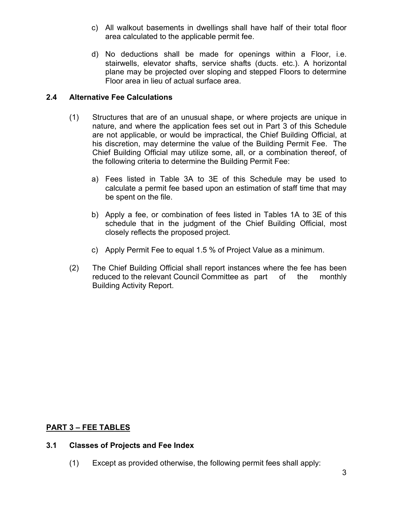- c) All walkout basements in dwellings shall have half of their total floor area calculated to the applicable permit fee.
- d) No deductions shall be made for openings within a Floor, i.e. stairwells, elevator shafts, service shafts (ducts. etc.). A horizontal plane may be projected over sloping and stepped Floors to determine Floor area in lieu of actual surface area.

### **2.4 Alternative Fee Calculations**

- (1) Structures that are of an unusual shape, or where projects are unique in nature, and where the application fees set out in Part 3 of this Schedule are not applicable, or would be impractical, the Chief Building Official, at his discretion, may determine the value of the Building Permit Fee. The Chief Building Official may utilize some, all, or a combination thereof, of the following criteria to determine the Building Permit Fee:
	- a) Fees listed in Table 3A to 3E of this Schedule may be used to calculate a permit fee based upon an estimation of staff time that may be spent on the file.
	- b) Apply a fee, or combination of fees listed in Tables 1A to 3E of this schedule that in the judgment of the Chief Building Official, most closely reflects the proposed project.
	- c) Apply Permit Fee to equal 1.5 % of Project Value as a minimum.
- (2) The Chief Building Official shall report instances where the fee has been reduced to the relevant Council Committee as part of the monthly Building Activity Report.

## **PART 3 – FEE TABLES**

#### **3.1 Classes of Projects and Fee Index**

(1) Except as provided otherwise, the following permit fees shall apply: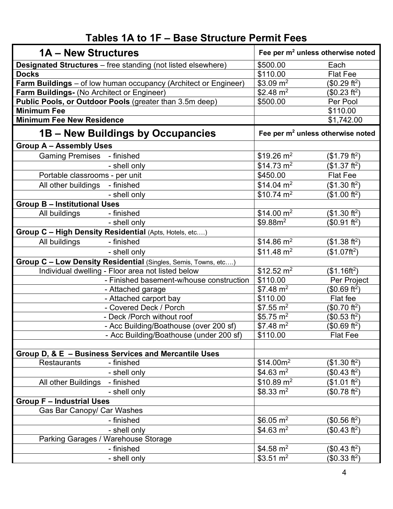## **Tables 1A to 1F – Base Structure Permit Fees**

| 1A – New Structures                        |                                                                     | Fee per m <sup>2</sup> unless otherwise noted |                           |
|--------------------------------------------|---------------------------------------------------------------------|-----------------------------------------------|---------------------------|
|                                            | <b>Designated Structures</b> – free standing (not listed elsewhere) | \$500.00                                      | Each                      |
| <b>Docks</b>                               |                                                                     | \$110.00                                      | <b>Flat Fee</b>           |
|                                            | Farm Buildings - of low human occupancy (Architect or Engineer)     | $$3.09 \text{ m}^2$$                          | (\$0.29 ft <sup>2</sup> ) |
| Farm Buildings- (No Architect or Engineer) |                                                                     | \$2.48 $m2$                                   | (\$0.23 ft <sup>2</sup> ) |
|                                            | Public Pools, or Outdoor Pools (greater than 3.5m deep)             | \$500.00                                      | Per Pool                  |
| <b>Minimum Fee</b>                         |                                                                     |                                               | \$110.00                  |
| <b>Minimum Fee New Residence</b>           |                                                                     |                                               | \$1,742.00                |
| 1B – New Buildings by Occupancies          |                                                                     | Fee per m <sup>2</sup> unless otherwise noted |                           |
| <b>Group A - Assembly Uses</b>             |                                                                     |                                               |                           |
| <b>Gaming Premises - finished</b>          |                                                                     | $$19.26 \text{ m}^2$                          | (\$1.79 ft <sup>2</sup> ) |
|                                            | - shell only                                                        | $$14.73 \text{ m}^2$                          | (\$1.37 ft <sup>2</sup> ) |
| Portable classrooms - per unit             |                                                                     | \$450.00                                      | <b>Flat Fee</b>           |
| All other buildings                        | - finished                                                          | $$14.04 \text{ m}^2$                          | (\$1.30 ft <sup>2</sup> ) |
|                                            | - shell only                                                        | $$10.74 \text{ m}^2$                          | (\$1.00 ft <sup>2</sup> ) |
| <b>Group B - Institutional Uses</b>        |                                                                     |                                               |                           |
| All buildings                              | - finished                                                          | \$14.00 m <sup>2</sup>                        | (\$1.30 ft <sup>2</sup> ) |
|                                            | - shell only                                                        | \$9.88m <sup>2</sup>                          | (\$0.91 ft <sup>2</sup> ) |
|                                            | Group C - High Density Residential (Apts, Hotels, etc)              |                                               |                           |
| All buildings                              | - finished                                                          | $$14.86 \text{ m}^2$                          | (\$1.38 ft <sup>2</sup> ) |
|                                            | - shell only                                                        | $$11.48 \text{ m}^2$                          | (\$1.07ft <sup>2</sup> )  |
|                                            | Group C - Low Density Residential (Singles, Semis, Towns, etc)      |                                               |                           |
|                                            | Individual dwelling - Floor area not listed below                   | $$12.52 \text{ m}^2$                          | $($1.16ft^2)$             |
|                                            | - Finished basement-w/house construction                            | \$110.00                                      | Per Project               |
|                                            | - Attached garage                                                   | $$7.48 \text{ m}^2$$                          | (\$0.69 ft <sup>2</sup> ) |
|                                            | - Attached carport bay                                              | \$110.00                                      | Flat fee                  |
|                                            | - Covered Deck / Porch                                              | $$7.55 \text{ m}^2$$                          | (\$0.70 ft <sup>2</sup> ) |
|                                            | - Deck /Porch without roof                                          | \$5.75 $m2$                                   | (\$0.53 ft <sup>2</sup> ) |
|                                            | - Acc Building/Boathouse (over 200 sf)                              | $$7.48 \text{ m}^2$$                          | (\$0.69 ft <sup>2</sup> ) |
|                                            | - Acc Building/Boathouse (under 200 sf)                             | \$110.00                                      | <b>Flat Fee</b>           |
|                                            |                                                                     |                                               |                           |
|                                            | Group D, & E - Business Services and Mercantile Uses                |                                               |                           |
| <b>Restaurants</b>                         | - finished                                                          | \$14.00m <sup>2</sup>                         | (\$1.30 ft <sup>2</sup> ) |
|                                            | - shell only                                                        | \$4.63 $m2$                                   | (\$0.43 ft <sup>2</sup> ) |
| All other Buildings                        | - finished                                                          | $$10.89 \text{ m}^2$                          | (\$1.01 ft <sup>2</sup> ) |
|                                            | - shell only                                                        | $$8.33 \text{ m}^2$$                          | $$0.78 ft2$ )             |
| <b>Group F - Industrial Uses</b>           |                                                                     |                                               |                           |
| Gas Bar Canopy/ Car Washes                 |                                                                     |                                               |                           |
|                                            | - finished                                                          | \$6.05 $m2$                                   | (\$0.56 ft <sup>2</sup> ) |
|                                            | - shell only                                                        | \$4.63 $m2$                                   | (\$0.43 ft <sup>2</sup> ) |
| Parking Garages / Warehouse Storage        |                                                                     |                                               |                           |
|                                            | - finished                                                          | \$4.58 $m2$                                   | (\$0.43 ft <sup>2</sup> ) |
|                                            | - shell only                                                        | \$3.51 $m2$                                   | (\$0.33 ft <sup>2</sup> ) |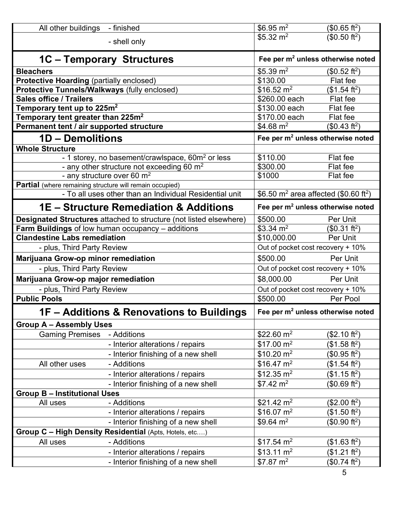| All other buildings - finished                                  |                                                                           | $\sqrt{6.95}$ m <sup>2</sup>                                  | (\$0.65 ft <sup>2</sup> )         |  |
|-----------------------------------------------------------------|---------------------------------------------------------------------------|---------------------------------------------------------------|-----------------------------------|--|
|                                                                 | - shell only                                                              | \$5.32 $m2$                                                   | (\$0.50 ft <sup>2</sup> )         |  |
|                                                                 | 1C - Temporary Structures                                                 | Fee per m <sup>2</sup> unless otherwise noted                 |                                   |  |
| <b>Bleachers</b>                                                |                                                                           | \$5.39 $m2$                                                   | (\$0.52 ft <sup>2</sup> )         |  |
| <b>Protective Hoarding (partially enclosed)</b>                 |                                                                           | \$130.00                                                      | Flat fee                          |  |
| Protective Tunnels/Walkways (fully enclosed)                    |                                                                           | \$16.52 $m2$                                                  | (\$1.54 ft <sup>2</sup> )         |  |
| <b>Sales office / Trailers</b>                                  |                                                                           | \$260.00 each                                                 | Flat fee                          |  |
| Temporary tent up to 225 $m2$                                   |                                                                           | \$130.00 each                                                 | Flat fee                          |  |
| Temporary tent greater than 225m <sup>2</sup>                   |                                                                           | \$170.00 each                                                 | Flat fee                          |  |
| Permanent tent / air supported structure                        |                                                                           | \$4.68 $m2$                                                   | (\$0.43 ft <sup>2</sup> )         |  |
| 1D - Demolitions                                                |                                                                           | Fee per m <sup>2</sup> unless otherwise noted                 |                                   |  |
| <b>Whole Structure</b>                                          |                                                                           |                                                               |                                   |  |
|                                                                 | - 1 storey, no basement/crawlspace, 60m <sup>2</sup> or less              | \$110.00                                                      | Flat fee                          |  |
|                                                                 | - any other structure not exceeding 60 $m2$                               | \$300.00<br>\$1000                                            | Flat fee<br>Flat fee              |  |
| <b>Partial</b> (where remaining structure will remain occupied) | - any structure over 60 m <sup>2</sup>                                    |                                                               |                                   |  |
|                                                                 | - To all uses other than an Individual Residential unit                   | \$6.50 m <sup>2</sup> area affected (\$0.60 ft <sup>2</sup> ) |                                   |  |
|                                                                 | <b>1E - Structure Remediation &amp; Additions</b>                         | Fee per m <sup>2</sup> unless otherwise noted                 |                                   |  |
|                                                                 | <b>Designated Structures</b> attached to structure (not listed elsewhere) | \$500.00                                                      | Per Unit                          |  |
|                                                                 | Farm Buildings of low human occupancy - additions                         | \$3.34 $m2$                                                   | (\$0.31 ft <sup>2</sup> )         |  |
| <b>Clandestine Labs remediation</b>                             |                                                                           | \$10,000.00                                                   | Per Unit                          |  |
| - plus, Third Party Review                                      |                                                                           | Out of pocket cost recovery + 10%                             |                                   |  |
| Marijuana Grow-op minor remediation                             |                                                                           | \$500.00                                                      | <b>Per Unit</b>                   |  |
| - plus, Third Party Review                                      |                                                                           |                                                               | Out of pocket cost recovery + 10% |  |
| Marijuana Grow-op major remediation                             |                                                                           | \$8,000.00                                                    | Per Unit                          |  |
| - plus, Third Party Review                                      |                                                                           | Out of pocket cost recovery + 10%                             |                                   |  |
| <b>Public Pools</b>                                             |                                                                           | \$500.00                                                      | Per Pool                          |  |
|                                                                 | 1F - Additions & Renovations to Buildings                                 | Fee per m <sup>2</sup> unless otherwise noted                 |                                   |  |
| <b>Group A - Assembly Uses</b>                                  |                                                                           |                                                               |                                   |  |
| <b>Gaming Premises</b>                                          | - Additions                                                               | \$22.60 m <sup>2</sup>                                        | (\$2.10 ft <sup>2</sup> )         |  |
|                                                                 | - Interior alterations / repairs                                          | \$17.00 m <sup>2</sup>                                        | (\$1.58 ft <sup>2</sup> )         |  |
|                                                                 | - Interior finishing of a new shell                                       | $$10.20 \text{ m}^2$                                          | (\$0.95 ft <sup>2</sup> )         |  |
| All other uses                                                  | - Additions                                                               | $$16.47 \text{ m}^2$                                          | (\$1.54 ft <sup>2</sup> )         |  |
|                                                                 | - Interior alterations / repairs                                          | $$12.35 \text{ m}^2$                                          | (\$1.15 ft <sup>2</sup> )         |  |
|                                                                 | - Interior finishing of a new shell                                       | $$7.42 \text{ m}^2$$                                          | $$0.69 ft2$ )                     |  |
| <b>Group B - Institutional Uses</b>                             |                                                                           |                                                               |                                   |  |
| All uses                                                        | - Additions                                                               | \$21.42 $m2$                                                  | (\$2.00 ft <sup>2</sup> )         |  |
|                                                                 | - Interior alterations / repairs                                          | \$16.07 m <sup>2</sup>                                        | (\$1.50 ft <sup>2</sup> )         |  |
|                                                                 | - Interior finishing of a new shell                                       | $$9.64 \text{ m}^2$$                                          | (\$0.90 ft <sup>2</sup> )         |  |
|                                                                 | Group C - High Density Residential (Apts, Hotels, etc)                    |                                                               |                                   |  |
| All uses                                                        | - Additions                                                               | $$17.54 \text{ m}^2$                                          | (\$1.63 ft <sup>2</sup> )         |  |
|                                                                 | - Interior alterations / repairs                                          | $$13.11 \text{ m}^2$                                          | (\$1.21 ft <sup>2</sup> )         |  |
|                                                                 | - Interior finishing of a new shell                                       | \$7.87~m <sup>2</sup>                                         | (\$0.74 ft <sup>2</sup> )         |  |
|                                                                 |                                                                           |                                                               | 5                                 |  |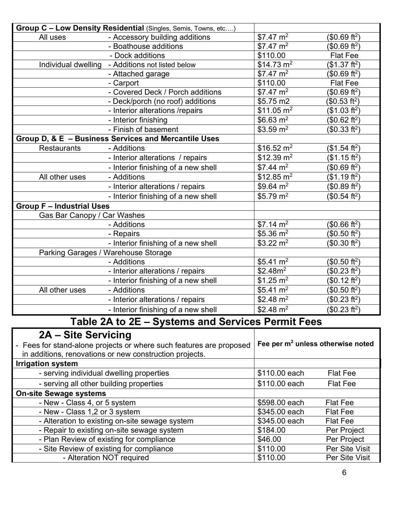| Group C - Low Density Residential (Singles, Semis, Towns, etc) |                                                                                                        |                        |                           |
|----------------------------------------------------------------|--------------------------------------------------------------------------------------------------------|------------------------|---------------------------|
| All uses                                                       | - Accessory building additions                                                                         | $$7.47 \text{ m}^2$$   | (\$0.69 ft <sup>2</sup> ) |
|                                                                | - Boathouse additions                                                                                  | \$7.47~m <sup>2</sup>  | $$0.69 ft2$ )             |
|                                                                | - Dock additions                                                                                       | \$110.00               | <b>Flat Fee</b>           |
| Individual dwelling                                            | - Additions not listed below                                                                           | $$14.73 \text{ m}^2$   | (\$1.37 ft <sup>2</sup> ) |
|                                                                | - Attached garage                                                                                      | \$7.47~m <sup>2</sup>  | (\$0.69 ft <sup>2</sup> ) |
|                                                                | - Carport                                                                                              | \$110.00               | <b>Flat Fee</b>           |
|                                                                | - Covered Deck / Porch additions                                                                       | $$7.47 \text{ m}^2$$   | (\$0.69 ft <sup>2</sup> ) |
|                                                                | - Deck/porch (no roof) additions                                                                       | \$5.75 m2              | (\$0.53 ft <sup>2</sup> ) |
|                                                                | - Interior alterations /repairs                                                                        | \$11.05 m <sup>2</sup> | (\$1.03 ft <sup>2</sup> ) |
|                                                                | - Interior finishing                                                                                   | $$6.63 \text{ m}^2$$   | (\$0.62 ft <sup>2</sup> ) |
|                                                                | - Finish of basement                                                                                   | $$3.59 \text{ m}^2$$   | (\$0.33 ft <sup>2</sup> ) |
|                                                                | Group D, & E - Business Services and Mercantile Uses                                                   |                        |                           |
| <b>Restaurants</b>                                             | - Additions                                                                                            | $$16.52 \text{ m}^2$   | (\$1.54 ft <sup>2</sup> ) |
|                                                                | - Interior alterations / repairs                                                                       | $$12.39 \text{ m}^2$   | (\$1.15 ft <sup>2</sup> ) |
|                                                                | - Interior finishing of a new shell                                                                    | $$7.44 \text{ m}^2$$   | $$0.69 ft2$ )             |
| All other uses                                                 | - Additions                                                                                            | $$12.85 \text{ m}^2$   | (\$1.19 ft <sup>2</sup> ) |
|                                                                | - Interior alterations / repairs                                                                       | \$9.64 $m^2$           | (\$0.89 ft <sup>2</sup> ) |
|                                                                | - Interior finishing of a new shell                                                                    | \$5.79 m <sup>2</sup>  | (\$0.54 ft <sup>2</sup> ) |
| <b>Group F - Industrial Uses</b>                               |                                                                                                        |                        |                           |
| Gas Bar Canopy / Car Washes                                    |                                                                                                        |                        |                           |
|                                                                | - Additions                                                                                            | $$7.14 \text{ m}^2$$   | \$0.66 ft <sup>2</sup>    |
|                                                                | - Repairs                                                                                              | $$5.36 \text{ m}^2$$   | \$0.50 ft <sup>2</sup>    |
|                                                                | - Interior finishing of a new shell                                                                    | $$3.22 \text{ m}^2$    | (\$0.30 ft <sup>2</sup> ) |
|                                                                | Parking Garages / Warehouse Storage                                                                    |                        |                           |
|                                                                | - Additions                                                                                            | \$5.41 $m2$            | $$0.50 ft2$ )             |
|                                                                | - Interior alterations / repairs                                                                       | \$2.48m <sup>2</sup>   | (\$0.23 ft <sup>2</sup> ) |
|                                                                | - Interior finishing of a new shell                                                                    | $$1.25 \text{ m}^2$    | (\$0.12 ft <sup>2</sup> ) |
| All other uses                                                 | - Additions                                                                                            | \$5.41 $m2$            | (\$0.50 ft <sup>2</sup> ) |
|                                                                | - Interior alterations / repairs                                                                       | \$2.48 $m2$            | (\$0.23 ft <sup>2</sup> ) |
|                                                                | - Interior finishing of a new shell                                                                    | \$2.48 $m2$            | (\$0.23 ft <sup>2</sup> ) |
|                                                                | Table 2A to 2E - Systems and Services Permit Fees                                                      |                        |                           |
| 2A - Site Servicing                                            |                                                                                                        |                        |                           |
|                                                                | Esse for stand alone projects or where such fectures are prepared Fee per $m^2$ unless otherwise noted |                        |                           |

| - Fees for stand-alone projects or where such features are proposed<br>in additions, renovations or new construction projects. | Fee per m <sup>2</sup> unless otherwise noted |                 |
|--------------------------------------------------------------------------------------------------------------------------------|-----------------------------------------------|-----------------|
| <b>Irrigation system</b>                                                                                                       |                                               |                 |
| - serving individual dwelling properties                                                                                       | \$110.00 each                                 | <b>Flat Fee</b> |
| - serving all other building properties                                                                                        | \$110.00 each                                 | <b>Flat Fee</b> |
| <b>On-site Sewage systems</b>                                                                                                  |                                               |                 |
| - New - Class 4, or 5 system                                                                                                   | \$598.00 each                                 | <b>Flat Fee</b> |
| - New - Class 1,2 or 3 system                                                                                                  | \$345.00 each                                 | <b>Flat Fee</b> |
| - Alteration to existing on-site sewage system                                                                                 | \$345.00 each                                 | <b>Flat Fee</b> |
| - Repair to existing on-site sewage system                                                                                     | \$184.00                                      | Per Project     |
| - Plan Review of existing for compliance                                                                                       | \$46.00                                       | Per Project     |
| - Site Review of existing for compliance                                                                                       | \$110.00                                      | Per Site Visit  |
| - Alteration NOT required                                                                                                      | \$110.00                                      | Per Site Visit  |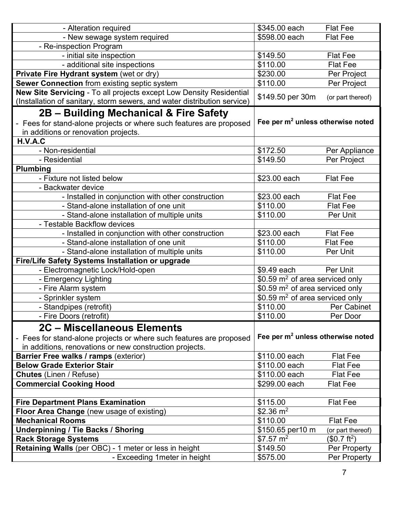| - Alteration required                                                    | \$345.00 each                                 | <b>Flat Fee</b>                               |  |
|--------------------------------------------------------------------------|-----------------------------------------------|-----------------------------------------------|--|
| - New sewage system required                                             | \$598.00 each                                 | <b>Flat Fee</b>                               |  |
| - Re-inspection Program                                                  |                                               |                                               |  |
| - initial site inspection                                                | \$149.50                                      | <b>Flat Fee</b>                               |  |
| - additional site inspections                                            | \$110.00                                      | <b>Flat Fee</b>                               |  |
| Private Fire Hydrant system (wet or dry)                                 | \$230.00                                      | Per Project                                   |  |
| Sewer Connection from existing septic system                             | \$110.00                                      | Per Project                                   |  |
| New Site Servicing - To all projects except Low Density Residential      |                                               |                                               |  |
| (Installation of sanitary, storm sewers, and water distribution service) | \$149.50 per 30m                              | (or part thereof)                             |  |
| 2B – Building Mechanical & Fire Safety                                   |                                               |                                               |  |
| - Fees for stand-alone projects or where such features are proposed      |                                               | Fee per m <sup>2</sup> unless otherwise noted |  |
| in additions or renovation projects.                                     |                                               |                                               |  |
| H.V.A.C                                                                  |                                               |                                               |  |
| - Non-residential                                                        | \$172.50                                      | Per Appliance                                 |  |
| - Residential                                                            | \$149.50                                      | Per Project                                   |  |
| Plumbing                                                                 |                                               |                                               |  |
| - Fixture not listed below                                               | \$23.00 each                                  | <b>Flat Fee</b>                               |  |
| - Backwater device                                                       |                                               |                                               |  |
| - Installed in conjunction with other construction                       | \$23.00 each                                  | <b>Flat Fee</b>                               |  |
| - Stand-alone installation of one unit                                   | \$110.00                                      | <b>Flat Fee</b>                               |  |
| - Stand-alone installation of multiple units                             | \$110.00                                      | Per Unit                                      |  |
| - Testable Backflow devices                                              |                                               |                                               |  |
| - Installed in conjunction with other construction                       | \$23.00 each                                  | <b>Flat Fee</b>                               |  |
| - Stand-alone installation of one unit                                   | \$110.00                                      | <b>Flat Fee</b>                               |  |
| - Stand-alone installation of multiple units                             | \$110.00                                      | Per Unit                                      |  |
| Fire/Life Safety Systems Installation or upgrade                         |                                               |                                               |  |
| - Electromagnetic Lock/Hold-open                                         | \$9.49 each                                   | Per Unit                                      |  |
| - Emergency Lighting                                                     | \$0.59 $\mathrm{m}^2$ of area serviced only   |                                               |  |
| - Fire Alarm system                                                      | \$0.59 $\mathrm{m}^2$ of area serviced only   |                                               |  |
| - Sprinkler system                                                       | \$0.59 $m2$ of area serviced only             |                                               |  |
| - Standpipes (retrofit)                                                  | \$110.00                                      | Per Cabinet                                   |  |
| - Fire Doors (retrofit)                                                  | \$110.00                                      | Per Door                                      |  |
| 2C - Miscellaneous Elements                                              |                                               |                                               |  |
| - Fees for stand-alone projects or where such features are proposed      | Fee per m <sup>2</sup> unless otherwise noted |                                               |  |
| in additions, renovations or new construction projects.                  |                                               |                                               |  |
| <b>Barrier Free walks / ramps (exterior)</b>                             | \$110.00 each                                 | <b>Flat Fee</b>                               |  |
| <b>Below Grade Exterior Stair</b>                                        | \$110.00 each                                 | <b>Flat Fee</b>                               |  |
| <b>Chutes</b> (Linen / Refuse)                                           | \$110.00 each                                 | <b>Flat Fee</b>                               |  |
| <b>Commercial Cooking Hood</b>                                           | \$299.00 each                                 | <b>Flat Fee</b>                               |  |
|                                                                          |                                               |                                               |  |
| <b>Fire Department Plans Examination</b>                                 | \$115.00                                      | <b>Flat Fee</b>                               |  |
| Floor Area Change (new usage of existing)                                | $$2.36 \text{ m}^2$$                          |                                               |  |
| <b>Mechanical Rooms</b>                                                  | \$110.00                                      | <b>Flat Fee</b>                               |  |
| <b>Underpinning / Tie Backs / Shoring</b>                                | \$150.65 per10 m                              | (or part thereof)                             |  |
| <b>Rack Storage Systems</b>                                              | $$7.57 \text{ m}^2$$                          | (\$0.7 ft <sup>2</sup> )                      |  |
| Retaining Walls (per OBC) - 1 meter or less in height                    | \$149.50                                      | Per Property                                  |  |
| - Exceeding 1 meter in height                                            | \$575.00                                      | Per Property                                  |  |
|                                                                          |                                               |                                               |  |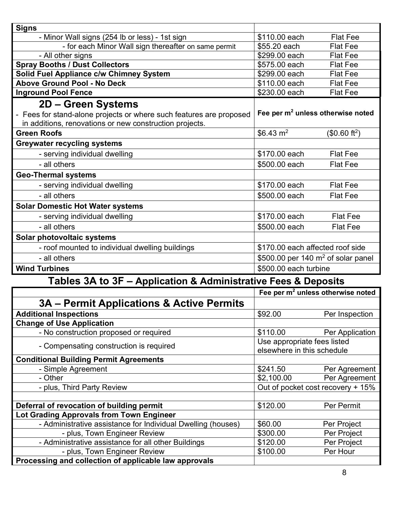| <b>Signs</b>                                                                        |                                               |                           |
|-------------------------------------------------------------------------------------|-----------------------------------------------|---------------------------|
| - Minor Wall signs (254 lb or less) - 1st sign                                      | \$110.00 each                                 | <b>Flat Fee</b>           |
| - for each Minor Wall sign thereafter on same permit                                | \$55.20 each                                  | <b>Flat Fee</b>           |
| - All other signs                                                                   | \$299.00 each                                 | <b>Flat Fee</b>           |
| <b>Spray Booths / Dust Collectors</b>                                               | \$575.00 each                                 | <b>Flat Fee</b>           |
| Solid Fuel Appliance c/w Chimney System                                             | \$299.00 each                                 | <b>Flat Fee</b>           |
| <b>Above Ground Pool - No Deck</b>                                                  | \$110.00 each                                 | <b>Flat Fee</b>           |
| <b>Inground Pool Fence</b>                                                          | \$230.00 each                                 | <b>Flat Fee</b>           |
| 2D – Green Systems                                                                  |                                               |                           |
| - Fees for stand-alone projects or where such features are proposed                 | Fee per m <sup>2</sup> unless otherwise noted |                           |
| in additions, renovations or new construction projects.                             |                                               |                           |
| <b>Green Roofs</b>                                                                  | \$6.43 $m2$                                   | (\$0.60 ft <sup>2</sup> ) |
| <b>Greywater recycling systems</b>                                                  |                                               |                           |
| - serving individual dwelling                                                       | \$170,00 each                                 | <b>Flat Fee</b>           |
| - all others                                                                        | \$500.00 each                                 | <b>Flat Fee</b>           |
| <b>Geo-Thermal systems</b>                                                          |                                               |                           |
| - serving individual dwelling                                                       | \$170.00 each                                 | <b>Flat Fee</b>           |
| - all others                                                                        | \$500.00 each                                 | <b>Flat Fee</b>           |
| <b>Solar Domestic Hot Water systems</b>                                             |                                               |                           |
| - serving individual dwelling                                                       | \$170.00 each                                 | <b>Flat Fee</b>           |
| - all others                                                                        | \$500.00 each                                 | <b>Flat Fee</b>           |
| Solar photovoltaic systems                                                          |                                               |                           |
| \$170.00 each affected roof side<br>- roof mounted to individual dwelling buildings |                                               |                           |
| \$500.00 per 140 $m2$ of solar panel<br>- all others                                |                                               |                           |
| <b>Wind Turbines</b>                                                                | \$500.00 each turbine                         |                           |

# **Tables 3A to 3F – Application & Administrative Fees & Deposits**

|                                                              | Fee per m <sup>2</sup> unless otherwise noted |                            |  |
|--------------------------------------------------------------|-----------------------------------------------|----------------------------|--|
| 3A – Permit Applications & Active Permits                    |                                               |                            |  |
| <b>Additional Inspections</b>                                | \$92.00                                       | Per Inspection             |  |
| <b>Change of Use Application</b>                             |                                               |                            |  |
| - No construction proposed or required                       | \$110.00                                      | Per Application            |  |
| - Compensating construction is required                      | Use appropriate fees listed                   |                            |  |
|                                                              |                                               | elsewhere in this schedule |  |
| <b>Conditional Building Permit Agreements</b>                |                                               |                            |  |
| - Simple Agreement                                           | \$241.50                                      | Per Agreement              |  |
| - Other                                                      | \$2,100.00                                    | Per Agreement              |  |
| - plus, Third Party Review                                   | Out of pocket cost recovery + 15%             |                            |  |
|                                                              |                                               |                            |  |
| Deferral of revocation of building permit                    | \$120.00                                      | Per Permit                 |  |
| Lot Grading Approvals from Town Engineer                     |                                               |                            |  |
| - Administrative assistance for Individual Dwelling (houses) | \$60.00                                       | Per Project                |  |
| - plus, Town Engineer Review                                 | \$300.00                                      | Per Project                |  |
| - Administrative assistance for all other Buildings          | \$120.00                                      | Per Project                |  |
| - plus, Town Engineer Review                                 | \$100.00                                      | Per Hour                   |  |
| Processing and collection of applicable law approvals        |                                               |                            |  |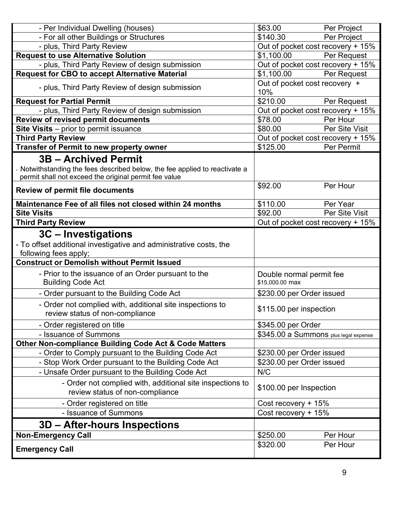| - Per Individual Dwelling (houses)                                                                                                                                       | \$63.00                                     | Per Project    |
|--------------------------------------------------------------------------------------------------------------------------------------------------------------------------|---------------------------------------------|----------------|
| - For all other Buildings or Structures                                                                                                                                  | \$140.30                                    | Per Project    |
| - plus, Third Party Review                                                                                                                                               | Out of pocket cost recovery + 15%           |                |
| <b>Request to use Alternative Solution</b>                                                                                                                               | \$1,100.00                                  | Per Request    |
| - plus, Third Party Review of design submission                                                                                                                          | Out of pocket cost recovery + 15%           |                |
| <b>Request for CBO to accept Alternative Material</b>                                                                                                                    | \$1,100.00                                  | Per Request    |
| - plus, Third Party Review of design submission                                                                                                                          | Out of pocket cost recovery +<br>10%        |                |
| <b>Request for Partial Permit</b>                                                                                                                                        | \$210.00                                    | Per Request    |
| - plus, Third Party Review of design submission                                                                                                                          | Out of pocket cost recovery + 15%           |                |
| Review of revised permit documents                                                                                                                                       | \$78.00                                     | Per Hour       |
| Site Visits - prior to permit issuance                                                                                                                                   | \$80.00                                     | Per Site Visit |
| <b>Third Party Review</b>                                                                                                                                                | Out of pocket cost recovery + 15%           |                |
| Transfer of Permit to new property owner                                                                                                                                 | \$125.00                                    | Per Permit     |
| <b>3B - Archived Permit</b>                                                                                                                                              |                                             |                |
| Notwithstanding the fees described below, the fee applied to reactivate a<br>permit shall not exceed the original permit fee value                                       |                                             |                |
| <b>Review of permit file documents</b>                                                                                                                                   | \$92.00                                     | Per Hour       |
| Maintenance Fee of all files not closed within 24 months                                                                                                                 | \$110.00                                    | Per Year       |
| <b>Site Visits</b>                                                                                                                                                       | \$92.00                                     | Per Site Visit |
| <b>Third Party Review</b>                                                                                                                                                | Out of pocket cost recovery + 15%           |                |
| 3C – Investigations<br>- To offset additional investigative and administrative costs, the<br>following fees apply;<br><b>Construct or Demolish without Permit Issued</b> |                                             |                |
|                                                                                                                                                                          |                                             |                |
| - Prior to the issuance of an Order pursuant to the<br><b>Building Code Act</b>                                                                                          | Double normal permit fee<br>\$15,000.00 max |                |
| - Order pursuant to the Building Code Act                                                                                                                                | \$230.00 per Order issued                   |                |
| - Order not complied with, additional site inspections to<br>review status of non-compliance                                                                             | \$115.00 per inspection                     |                |
| - Order registered on title<br>\$345.00 per Order                                                                                                                        |                                             |                |
| - Issuance of Summons                                                                                                                                                    | \$345.00 a Summons plus legal expense       |                |
| <b>Other Non-compliance Building Code Act &amp; Code Matters</b>                                                                                                         |                                             |                |
| - Order to Comply pursuant to the Building Code Act                                                                                                                      | \$230.00 per Order issued                   |                |
| - Stop Work Order pursuant to the Building Code Act                                                                                                                      | \$230.00 per Order issued                   |                |
| - Unsafe Order pursuant to the Building Code Act                                                                                                                         | N/C                                         |                |
| - Order not complied with, additional site inspections to<br>review status of non-compliance                                                                             | \$100.00 per Inspection                     |                |
| - Order registered on title                                                                                                                                              | Cost recovery + 15%                         |                |
| - Issuance of Summons                                                                                                                                                    | Cost recovery + 15%                         |                |
| <b>3D – After-hours Inspections</b>                                                                                                                                      |                                             |                |
| <b>Non-Emergency Call</b>                                                                                                                                                | \$250.00                                    | Per Hour       |
|                                                                                                                                                                          | \$320.00                                    | Per Hour       |
| <b>Emergency Call</b>                                                                                                                                                    |                                             |                |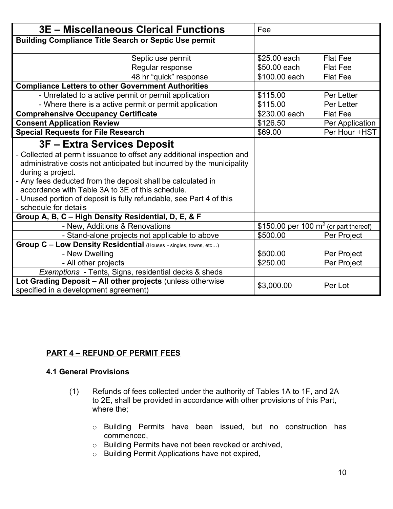| <b>3E - Miscellaneous Clerical Functions</b>                                                                                                                                                                                                                                                                                                                                                                          | Fee                                     |                 |
|-----------------------------------------------------------------------------------------------------------------------------------------------------------------------------------------------------------------------------------------------------------------------------------------------------------------------------------------------------------------------------------------------------------------------|-----------------------------------------|-----------------|
| <b>Building Compliance Title Search or Septic Use permit</b>                                                                                                                                                                                                                                                                                                                                                          |                                         |                 |
| Septic use permit                                                                                                                                                                                                                                                                                                                                                                                                     | \$25.00 each                            | <b>Flat Fee</b> |
| Regular response                                                                                                                                                                                                                                                                                                                                                                                                      | \$50.00 each                            | <b>Flat Fee</b> |
| 48 hr "quick" response                                                                                                                                                                                                                                                                                                                                                                                                | \$100.00 each                           | <b>Flat Fee</b> |
| <b>Compliance Letters to other Government Authorities</b>                                                                                                                                                                                                                                                                                                                                                             |                                         |                 |
| - Unrelated to a active permit or permit application                                                                                                                                                                                                                                                                                                                                                                  | \$115.00                                | Per Letter      |
| - Where there is a active permit or permit application                                                                                                                                                                                                                                                                                                                                                                | \$115.00                                | Per Letter      |
| <b>Comprehensive Occupancy Certificate</b>                                                                                                                                                                                                                                                                                                                                                                            | \$230.00 each                           | <b>Flat Fee</b> |
| <b>Consent Application Review</b>                                                                                                                                                                                                                                                                                                                                                                                     | \$126.50                                | Per Application |
| <b>Special Requests for File Research</b>                                                                                                                                                                                                                                                                                                                                                                             | \$69.00                                 | Per Hour +HST   |
| 3F – Extra Services Deposit<br>- Collected at permit issuance to offset any additional inspection and<br>administrative costs not anticipated but incurred by the municipality<br>during a project.<br>- Any fees deducted from the deposit shall be calculated in<br>accordance with Table 3A to 3E of this schedule.<br>- Unused portion of deposit is fully refundable, see Part 4 of this<br>schedule for details |                                         |                 |
| Group A, B, C - High Density Residential, D, E, & F                                                                                                                                                                                                                                                                                                                                                                   |                                         |                 |
| - New, Additions & Renovations                                                                                                                                                                                                                                                                                                                                                                                        | \$150.00 per 100 $m2$ (or part thereof) |                 |
| - Stand-alone projects not applicable to above                                                                                                                                                                                                                                                                                                                                                                        | \$500.00                                | Per Project     |
| Group C - Low Density Residential (Houses - singles, towns, etc)                                                                                                                                                                                                                                                                                                                                                      |                                         |                 |
| - New Dwelling                                                                                                                                                                                                                                                                                                                                                                                                        | \$500.00                                | Per Project     |
| - All other projects                                                                                                                                                                                                                                                                                                                                                                                                  | \$250.00                                | Per Project     |
| Exemptions - Tents, Signs, residential decks & sheds                                                                                                                                                                                                                                                                                                                                                                  |                                         |                 |
| Lot Grading Deposit - All other projects (unless otherwise<br>specified in a development agreement)                                                                                                                                                                                                                                                                                                                   | \$3,000.00                              | Per Lot         |

## **PART 4 – REFUND OF PERMIT FEES**

## **4.1 General Provisions**

- (1) Refunds of fees collected under the authority of Tables 1A to 1F, and 2A to 2E, shall be provided in accordance with other provisions of this Part, where the;
	- o Building Permits have been issued, but no construction has commenced,
	- o Building Permits have not been revoked or archived,
	- o Building Permit Applications have not expired,